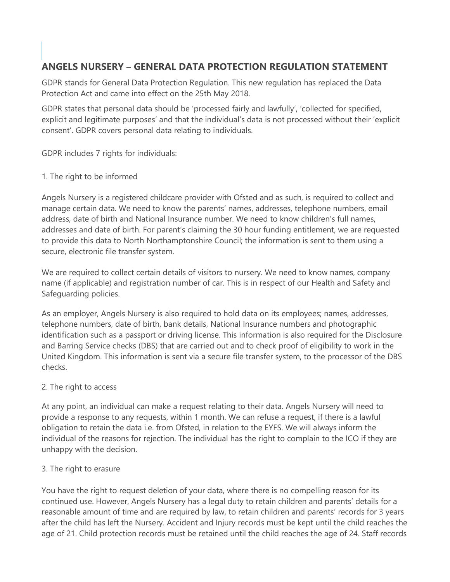# **ANGELS NURSERY – GENERAL DATA PROTECTION REGULATION STATEMENT**

GDPR stands for General Data Protection Regulation. This new regulation has replaced the Data Protection Act and came into effect on the 25th May 2018.

GDPR states that personal data should be 'processed fairly and lawfully', 'collected for specified, explicit and legitimate purposes' and that the individual's data is not processed without their 'explicit consent'. GDPR covers personal data relating to individuals.

GDPR includes 7 rights for individuals:

#### 1. The right to be informed

Angels Nursery is a registered childcare provider with Ofsted and as such, is required to collect and manage certain data. We need to know the parents' names, addresses, telephone numbers, email address, date of birth and National Insurance number. We need to know children's full names, addresses and date of birth. For parent's claiming the 30 hour funding entitlement, we are requested to provide this data to North Northamptonshire Council; the information is sent to them using a secure, electronic file transfer system.

We are required to collect certain details of visitors to nursery. We need to know names, company name (if applicable) and registration number of car. This is in respect of our Health and Safety and Safeguarding policies.

As an employer, Angels Nursery is also required to hold data on its employees; names, addresses, telephone numbers, date of birth, bank details, National Insurance numbers and photographic identification such as a passport or driving license. This information is also required for the Disclosure and Barring Service checks (DBS) that are carried out and to check proof of eligibility to work in the United Kingdom. This information is sent via a secure file transfer system, to the processor of the DBS checks.

### 2. The right to access

At any point, an individual can make a request relating to their data. Angels Nursery will need to provide a response to any requests, within 1 month. We can refuse a request, if there is a lawful obligation to retain the data i.e. from Ofsted, in relation to the EYFS. We will always inform the individual of the reasons for rejection. The individual has the right to complain to the ICO if they are unhappy with the decision.

### 3. The right to erasure

You have the right to request deletion of your data, where there is no compelling reason for its continued use. However, Angels Nursery has a legal duty to retain children and parents' details for a reasonable amount of time and are required by law, to retain children and parents' records for 3 years after the child has left the Nursery. Accident and Injury records must be kept until the child reaches the age of 21. Child protection records must be retained until the child reaches the age of 24. Staff records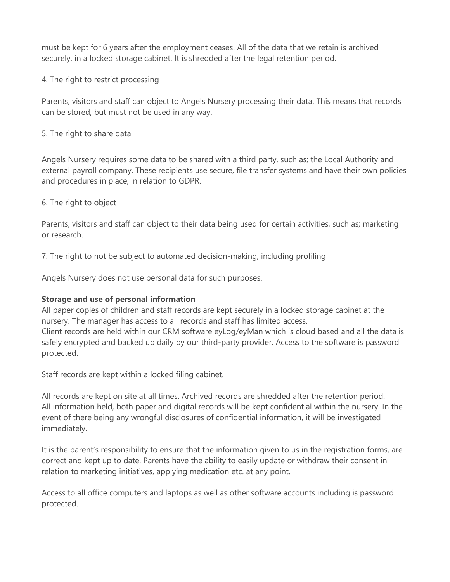must be kept for 6 years after the employment ceases. All of the data that we retain is archived securely, in a locked storage cabinet. It is shredded after the legal retention period.

4. The right to restrict processing

Parents, visitors and staff can object to Angels Nursery processing their data. This means that records can be stored, but must not be used in any way.

5. The right to share data

Angels Nursery requires some data to be shared with a third party, such as; the Local Authority and external payroll company. These recipients use secure, file transfer systems and have their own policies and procedures in place, in relation to GDPR.

6. The right to object

Parents, visitors and staff can object to their data being used for certain activities, such as; marketing or research.

7. The right to not be subject to automated decision-making, including profiling

Angels Nursery does not use personal data for such purposes.

### **Storage and use of personal information**

All paper copies of children and staff records are kept securely in a locked storage cabinet at the nursery. The manager has access to all records and staff has limited access.

Client records are held within our CRM software eyLog/eyMan which is cloud based and all the data is safely encrypted and backed up daily by our third-party provider. Access to the software is password protected.

Staff records are kept within a locked filing cabinet.

All records are kept on site at all times. Archived records are shredded after the retention period. All information held, both paper and digital records will be kept confidential within the nursery. In the event of there being any wrongful disclosures of confidential information, it will be investigated immediately.

It is the parent's responsibility to ensure that the information given to us in the registration forms, are correct and kept up to date. Parents have the ability to easily update or withdraw their consent in relation to marketing initiatives, applying medication etc. at any point.

Access to all office computers and laptops as well as other software accounts including is password protected.